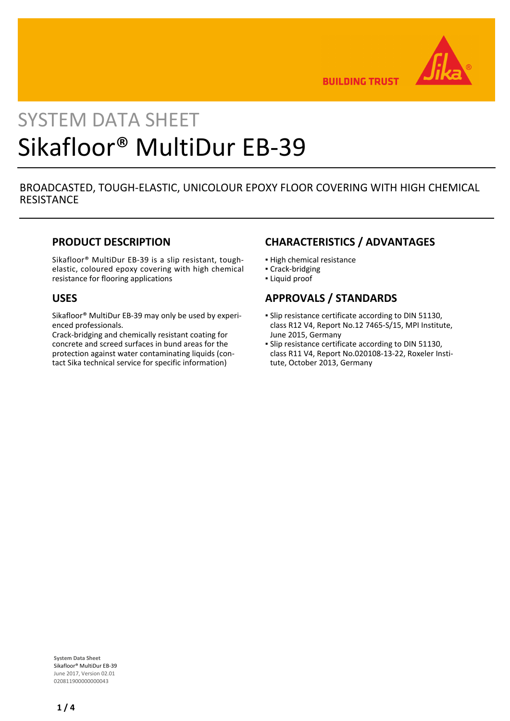

**BUILDING TRUST** 

# SYSTEM DATA SHEET Sikafloor® MultiDur EB-39

# BROADCASTED, TOUGH-ELASTIC, UNICOLOUR EPOXY FLOOR COVERING WITH HIGH CHEMICAL **RESISTANCE**

#### **PRODUCT DESCRIPTION**

Sikafloor® MultiDur EB-39 is a slip resistant, toughelastic, coloured epoxy covering with high chemical resistance for flooring applications

#### **USES**

Sikafloor® MultiDur EB-39 may only be used by experienced professionals.

Crack-bridging and chemically resistant coating for concrete and screed surfaces in bund areas for the protection against water contaminating liquids (contact Sika technical service for specific information)

# **CHARACTERISTICS / ADVANTAGES**

- **· High chemical resistance**
- Crack-bridging
- Liquid proof

# **APPROVALS / STANDARDS**

- **Slip resistance certificate according to DIN 51130,** class R12 V4, Report No.12 7465-S/15, MPI Institute, June 2015, Germany
- **Slip resistance certificate according to DIN 51130,** class R11 V4, Report No.020108-13-22, Roxeler Institute, October 2013, Germany

**System Data Sheet** Sikafloor® MultiDur EB-39 June 2017, Version 02.01 020811900000000043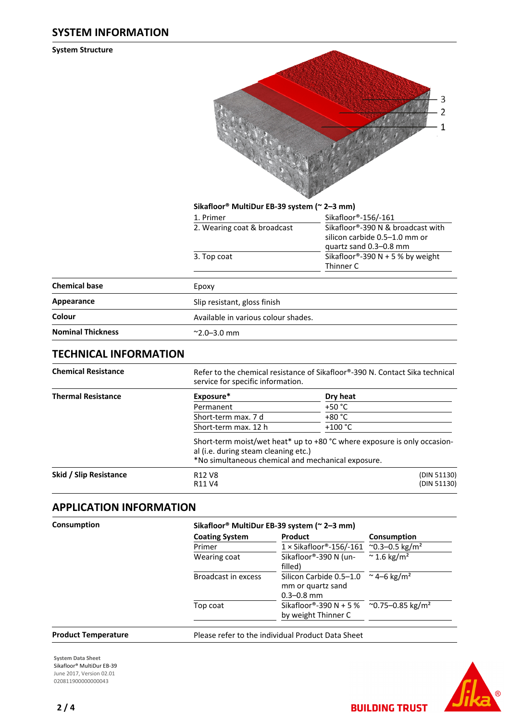#### **SYSTEM INFORMATION**

**System Structure**



#### **Sikafloor® MultiDur EB-39 system (~ 2–3 mm)**

| Sikafloor®-156/-161                                                                          |
|----------------------------------------------------------------------------------------------|
| Sikafloor®-390 N & broadcast with<br>silicon carbide 0.5-1.0 mm or<br>quartz sand 0.3-0.8 mm |
| Sikafloor®-390 N + 5 % by weight<br>Thinner C                                                |
|                                                                                              |

| Epoxy                               |
|-------------------------------------|
| Slip resistant, gloss finish        |
| Available in various colour shades. |
| $^{\sim}$ 2.0–3.0 mm                |
|                                     |

# **TECHNICAL INFORMATION**

| <b>Chemical Resistance</b> | Refer to the chemical resistance of Sikafloor®-390 N. Contact Sika technical<br>service for specific information.                                                      |                            |  |  |
|----------------------------|------------------------------------------------------------------------------------------------------------------------------------------------------------------------|----------------------------|--|--|
| <b>Thermal Resistance</b>  | Exposure*                                                                                                                                                              | Dry heat                   |  |  |
|                            | Permanent                                                                                                                                                              | $+50 °C$                   |  |  |
|                            | Short-term max. 7 d                                                                                                                                                    | $+80 °C$                   |  |  |
|                            | Short-term max. 12 h                                                                                                                                                   | $+100 °C$                  |  |  |
|                            | Short-term moist/wet heat* up to +80 °C where exposure is only occasion-<br>al (i.e. during steam cleaning etc.)<br>*No simultaneous chemical and mechanical exposure. |                            |  |  |
| Skid / Slip Resistance     | R <sub>12</sub> V <sub>8</sub><br>R <sub>11</sub> V <sub>4</sub>                                                                                                       | (DIN 51130)<br>(DIN 51130) |  |  |

# **APPLICATION INFORMATION**

| Consumption                | Sikafloor® MultiDur EB-39 system (~ 2-3 mm)     |                                                                            |                                 |  |  |
|----------------------------|-------------------------------------------------|----------------------------------------------------------------------------|---------------------------------|--|--|
|                            | <b>Coating System</b><br>Primer<br>Wearing coat | <b>Product</b>                                                             | Consumption                     |  |  |
|                            |                                                 | 1 × Sikafloor®-156/-161 ~0.3-0.5 kg/m <sup>2</sup>                         | $\approx$ 1.6 kg/m <sup>2</sup> |  |  |
|                            |                                                 | Sikafloor®-390 N (un-<br>filled)                                           |                                 |  |  |
|                            | Broadcast in excess                             | Silicon Carbide 0.5-1.0<br>mm or quartz sand<br>$0.3 - 0.8$ mm             | ~ 4–6 kg/m <sup>2</sup>         |  |  |
|                            | Top coat                                        | Sikafloor®-390 N + 5 % ~0.75-0.85 kg/m <sup>2</sup><br>by weight Thinner C |                                 |  |  |
| <b>Product Temperature</b> |                                                 | Please refer to the individual Product Data Sheet                          |                                 |  |  |

**System Data Sheet** Sikafloor® MultiDur EB-39 June 2017, Version 02.01 020811900000000043



**BUILDING TRUST**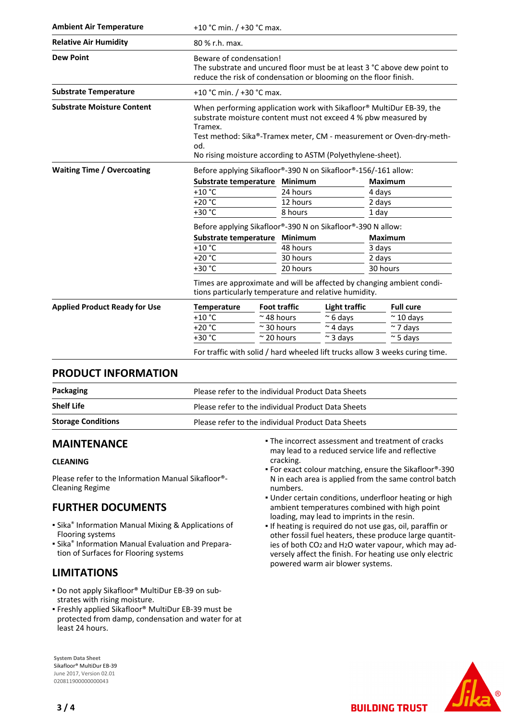| <b>Ambient Air Temperature</b>       | +10 °C min. $/$ +30 °C max.                                                                                                                                                                                                                                                                   |                                         |                     |                    |                |                                                                              |
|--------------------------------------|-----------------------------------------------------------------------------------------------------------------------------------------------------------------------------------------------------------------------------------------------------------------------------------------------|-----------------------------------------|---------------------|--------------------|----------------|------------------------------------------------------------------------------|
| <b>Relative Air Humidity</b>         | 80 % r.h. max.                                                                                                                                                                                                                                                                                |                                         |                     |                    |                |                                                                              |
| <b>Dew Point</b>                     | Beware of condensation!<br>The substrate and uncured floor must be at least 3 °C above dew point to<br>reduce the risk of condensation or blooming on the floor finish.                                                                                                                       |                                         |                     |                    |                |                                                                              |
| <b>Substrate Temperature</b>         | +10 °C min. $/$ +30 °C max.                                                                                                                                                                                                                                                                   |                                         |                     |                    |                |                                                                              |
| <b>Substrate Moisture Content</b>    | When performing application work with Sikafloor® MultiDur EB-39, the<br>substrate moisture content must not exceed 4 % pbw measured by<br>Tramex.<br>Test method: Sika®-Tramex meter, CM - measurement or Oven-dry-meth-<br>od.<br>No rising moisture according to ASTM (Polyethylene-sheet). |                                         |                     |                    |                |                                                                              |
| <b>Waiting Time / Overcoating</b>    | Before applying Sikafloor®-390 N on Sikafloor®-156/-161 allow:                                                                                                                                                                                                                                |                                         |                     |                    |                |                                                                              |
|                                      |                                                                                                                                                                                                                                                                                               | <b>Minimum</b><br>Substrate temperature |                     |                    | <b>Maximum</b> |                                                                              |
|                                      | $+10$ °C                                                                                                                                                                                                                                                                                      |                                         | 24 hours            |                    | 4 days         |                                                                              |
|                                      | $+20 °C$                                                                                                                                                                                                                                                                                      |                                         | 12 hours            |                    | 2 days         |                                                                              |
|                                      | +30 °C                                                                                                                                                                                                                                                                                        |                                         | 8 hours             |                    | 1 day          |                                                                              |
|                                      | Before applying Sikafloor®-390 N on Sikafloor®-390 N allow:                                                                                                                                                                                                                                   |                                         |                     |                    |                |                                                                              |
|                                      |                                                                                                                                                                                                                                                                                               | Minimum<br>Substrate temperature        |                     | <b>Maximum</b>     |                |                                                                              |
|                                      | $+10 °C$                                                                                                                                                                                                                                                                                      | 48 hours                                |                     | 3 days             |                |                                                                              |
|                                      | $+20 °C$                                                                                                                                                                                                                                                                                      |                                         |                     | 30 hours<br>2 days |                |                                                                              |
|                                      | +30 °C                                                                                                                                                                                                                                                                                        | 20 hours                                |                     | 30 hours           |                |                                                                              |
|                                      | Times are approximate and will be affected by changing ambient condi-<br>tions particularly temperature and relative humidity.                                                                                                                                                                |                                         |                     |                    |                |                                                                              |
| <b>Applied Product Ready for Use</b> | <b>Temperature</b>                                                                                                                                                                                                                                                                            |                                         | <b>Foot traffic</b> | Light traffic      |                | <b>Full cure</b>                                                             |
|                                      | $+10 °C$                                                                                                                                                                                                                                                                                      |                                         | $\approx$ 48 hours  | $\approx$ 6 days   |                | $\approx$ 10 days                                                            |
|                                      | $+20 °C$                                                                                                                                                                                                                                                                                      |                                         | $\approx$ 30 hours  | $~\sim$ 4 days     |                | $\sim$ 7 days                                                                |
|                                      | +30 °C                                                                                                                                                                                                                                                                                        | $\approx$ 20 hours                      |                     | $\sim$ 3 days      |                | $\approx$ 5 days                                                             |
|                                      |                                                                                                                                                                                                                                                                                               |                                         |                     |                    |                | For traffic with solid / hard wheeled lift trucks allow 3 weeks curing time. |

## **PRODUCT INFORMATION**

| Packaging<br>Please refer to the individual Product Data Sheets |                                                    |  |
|-----------------------------------------------------------------|----------------------------------------------------|--|
| <b>Shelf Life</b>                                               | Please refer to the individual Product Data Sheets |  |
| <b>Storage Conditions</b>                                       | Please refer to the individual Product Data Sheets |  |

## **MAINTENANCE**

#### **CLEANING**

Please refer to the Information Manual Sikafloor®- Cleaning Regime

# **FURTHER DOCUMENTS**

- **Sika<sup>®</sup> Information Manual Mixing & Applications of** Flooring systems
- **E** Sika<sup>®</sup> Information Manual Evaluation and Preparation of Surfaces for Flooring systems

# **LIMITATIONS**

- Do not apply Sikafloor® MultiDur EB-39 on substrates with rising moisture.
- Freshly applied Sikafloor® MultiDur EB-39 must be protected from damp, condensation and water for at least 24 hours.

**System Data Sheet** Sikafloor® MultiDur EB-39 June 2017, Version 02.01 020811900000000043

- The incorrect assessment and treatment of cracks may lead to a reduced service life and reflective cracking.
- For exact colour matching, ensure the Sikafloor®-390 N in each area is applied from the same control batch numbers.
- Under certain conditions, underfloor heating or high ambient temperatures combined with high point loading, may lead to imprints in the resin.
- **.** If heating is required do not use gas, oil, paraffin or other fossil fuel heaters, these produce large quantities of both CO2 and H2O water vapour, which may adversely affect the finish. For heating use only electric powered warm air blower systems.

**BUILDING TRUST**